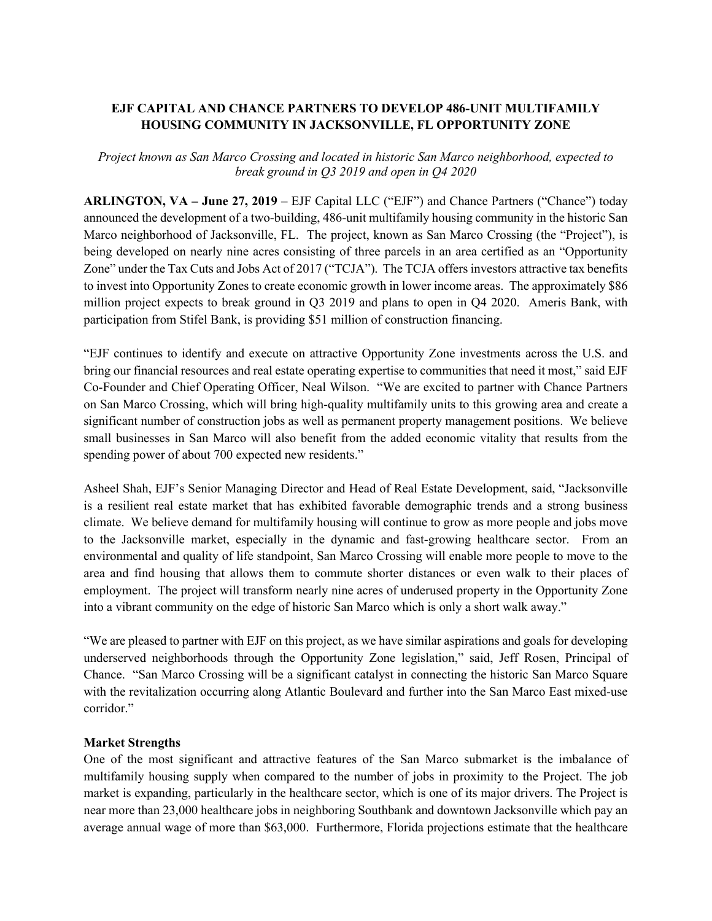## **EJF CAPITAL AND CHANCE PARTNERS TO DEVELOP 486-UNIT MULTIFAMILY HOUSING COMMUNITY IN JACKSONVILLE, FL OPPORTUNITY ZONE**

*Project known as San Marco Crossing and located in historic San Marco neighborhood, expected to break ground in Q3 2019 and open in Q4 2020*

**ARLINGTON, VA – June 27, 2019** – EJF Capital LLC ("EJF") and Chance Partners ("Chance") today announced the development of a two-building, 486-unit multifamily housing community in the historic San Marco neighborhood of Jacksonville, FL. The project, known as San Marco Crossing (the "Project"), is being developed on nearly nine acres consisting of three parcels in an area certified as an "Opportunity Zone" under the Tax Cuts and Jobs Act of 2017 ("TCJA"). The TCJA offers investors attractive tax benefits to invest into Opportunity Zones to create economic growth in lower income areas. The approximately \$86 million project expects to break ground in Q3 2019 and plans to open in Q4 2020. Ameris Bank, with participation from Stifel Bank, is providing \$51 million of construction financing.

"EJF continues to identify and execute on attractive Opportunity Zone investments across the U.S. and bring our financial resources and real estate operating expertise to communities that need it most," said EJF Co-Founder and Chief Operating Officer, Neal Wilson. "We are excited to partner with Chance Partners on San Marco Crossing, which will bring high-quality multifamily units to this growing area and create a significant number of construction jobs as well as permanent property management positions. We believe small businesses in San Marco will also benefit from the added economic vitality that results from the spending power of about 700 expected new residents."

Asheel Shah, EJF's Senior Managing Director and Head of Real Estate Development, said, "Jacksonville is a resilient real estate market that has exhibited favorable demographic trends and a strong business climate. We believe demand for multifamily housing will continue to grow as more people and jobs move to the Jacksonville market, especially in the dynamic and fast-growing healthcare sector. From an environmental and quality of life standpoint, San Marco Crossing will enable more people to move to the area and find housing that allows them to commute shorter distances or even walk to their places of employment. The project will transform nearly nine acres of underused property in the Opportunity Zone into a vibrant community on the edge of historic San Marco which is only a short walk away."

"We are pleased to partner with EJF on this project, as we have similar aspirations and goals for developing underserved neighborhoods through the Opportunity Zone legislation," said, Jeff Rosen, Principal of Chance. "San Marco Crossing will be a significant catalyst in connecting the historic San Marco Square with the revitalization occurring along Atlantic Boulevard and further into the San Marco East mixed-use corridor."

## **Market Strengths**

One of the most significant and attractive features of the San Marco submarket is the imbalance of multifamily housing supply when compared to the number of jobs in proximity to the Project. The job market is expanding, particularly in the healthcare sector, which is one of its major drivers. The Project is near more than 23,000 healthcare jobs in neighboring Southbank and downtown Jacksonville which pay an average annual wage of more than \$63,000. Furthermore, Florida projections estimate that the healthcare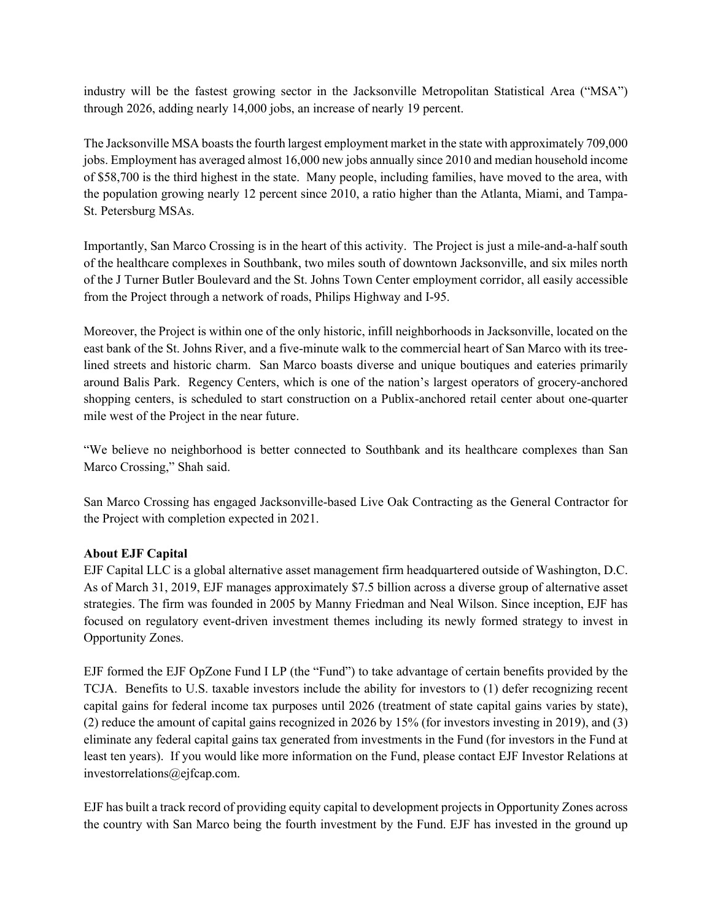industry will be the fastest growing sector in the Jacksonville Metropolitan Statistical Area ("MSA") through 2026, adding nearly 14,000 jobs, an increase of nearly 19 percent.

The Jacksonville MSA boasts the fourth largest employment market in the state with approximately 709,000 jobs. Employment has averaged almost 16,000 new jobs annually since 2010 and median household income of \$58,700 is the third highest in the state. Many people, including families, have moved to the area, with the population growing nearly 12 percent since 2010, a ratio higher than the Atlanta, Miami, and Tampa-St. Petersburg MSAs.

Importantly, San Marco Crossing is in the heart of this activity. The Project is just a mile-and-a-half south of the healthcare complexes in Southbank, two miles south of downtown Jacksonville, and six miles north of the J Turner Butler Boulevard and the St. Johns Town Center employment corridor, all easily accessible from the Project through a network of roads, Philips Highway and I-95.

Moreover, the Project is within one of the only historic, infill neighborhoods in Jacksonville, located on the east bank of the St. Johns River, and a five-minute walk to the commercial heart of San Marco with its treelined streets and historic charm. San Marco boasts diverse and unique boutiques and eateries primarily around Balis Park. Regency Centers, which is one of the nation's largest operators of grocery-anchored shopping centers, is scheduled to start construction on a Publix-anchored retail center about one-quarter mile west of the Project in the near future.

"We believe no neighborhood is better connected to Southbank and its healthcare complexes than San Marco Crossing," Shah said.

San Marco Crossing has engaged Jacksonville-based Live Oak Contracting as the General Contractor for the Project with completion expected in 2021.

## **About EJF Capital**

EJF Capital LLC is a global alternative asset management firm headquartered outside of Washington, D.C. As of March 31, 2019, EJF manages approximately \$7.5 billion across a diverse group of alternative asset strategies. The firm was founded in 2005 by Manny Friedman and Neal Wilson. Since inception, EJF has focused on regulatory event-driven investment themes including its newly formed strategy to invest in Opportunity Zones.

EJF formed the EJF OpZone Fund I LP (the "Fund") to take advantage of certain benefits provided by the TCJA. Benefits to U.S. taxable investors include the ability for investors to (1) defer recognizing recent capital gains for federal income tax purposes until 2026 (treatment of state capital gains varies by state), (2) reduce the amount of capital gains recognized in 2026 by 15% (for investors investing in 2019), and (3) eliminate any federal capital gains tax generated from investments in the Fund (for investors in the Fund at least ten years). If you would like more information on the Fund, please contact EJF Investor Relations at investorrelations@ejfcap.com.

EJF has built a track record of providing equity capital to development projects in Opportunity Zones across the country with San Marco being the fourth investment by the Fund. EJF has invested in the ground up